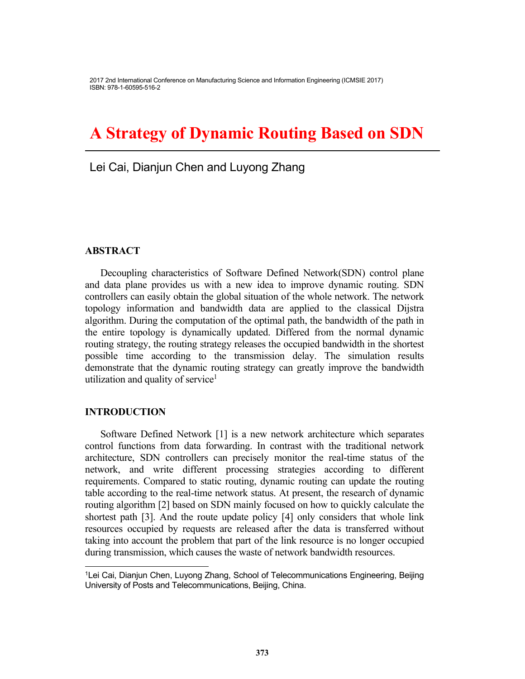2017 2nd International Conference on Manufacturing Science and Information Engineering (ICMSIE 2017) ISBN: 978-1-60595-516-2

# **A Strategy of Dynamic Routing Based on SDN**

Lei Cai, Dianjun Chen and Luyong Zhang

#### **ABSTRACT**

Decoupling characteristics of Software Defined Network(SDN) control plane and data plane provides us with a new idea to improve dynamic routing. SDN controllers can easily obtain the global situation of the whole network. The network topology information and bandwidth data are applied to the classical Dijstra algorithm. During the computation of the optimal path, the bandwidth of the path in the entire topology is dynamically updated. Differed from the normal dynamic routing strategy, the routing strategy releases the occupied bandwidth in the shortest possible time according to the transmission delay. The simulation results demonstrate that the dynamic routing strategy can greatly improve the bandwidth utilization and quality of service<sup>1</sup>

#### **INTRODUCTION**

-

Software Defined Network [1] is a new network architecture which separates control functions from data forwarding. In contrast with the traditional network architecture, SDN controllers can precisely monitor the real-time status of the network, and write different processing strategies according to different requirements. Compared to static routing, dynamic routing can update the routing table according to the real-time network status. At present, the research of dynamic routing algorithm [2] based on SDN mainly focused on how to quickly calculate the shortest path [3]. And the route update policy [4] only considers that whole link resources occupied by requests are released after the data is transferred without taking into account the problem that part of the link resource is no longer occupied during transmission, which causes the waste of network bandwidth resources.

<sup>1</sup>Lei Cai, Dianjun Chen, Luyong Zhang, School of Telecommunications Engineering, Beijing University of Posts and Telecommunications, Beijing, China.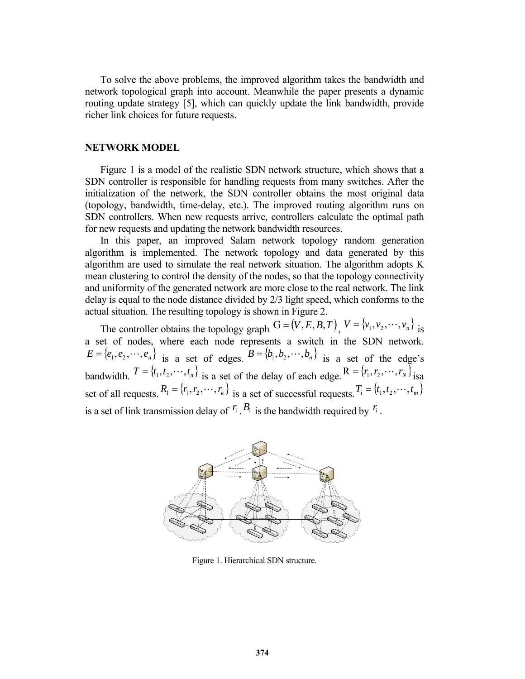To solve the above problems, the improved algorithm takes the bandwidth and network topological graph into account. Meanwhile the paper presents a dynamic routing update strategy [5], which can quickly update the link bandwidth, provide richer link choices for future requests.

### **NETWORK MODEL**

Figure 1 is a model of the realistic SDN network structure, which shows that a SDN controller is responsible for handling requests from many switches. After the initialization of the network, the SDN controller obtains the most original data (topology, bandwidth, time-delay, etc.). The improved routing algorithm runs on SDN controllers. When new requests arrive, controllers calculate the optimal path for new requests and updating the network bandwidth resources.

In this paper, an improved Salam network topology random generation algorithm is implemented. The network topology and data generated by this algorithm are used to simulate the real network situation. The algorithm adopts K mean clustering to control the density of the nodes, so that the topology connectivity and uniformity of the generated network are more close to the real network. The link delay is equal to the node distance divided by 2/3 light speed, which conforms to the actual situation. The resulting topology is shown in Figure 2.

The controller obtains the topology graph  $G = (V, E, B, T)$ ,  $V = \{v_1, v_2, \dots, v_n\}$  is a set of nodes, where each node represents a switch in the SDN network.  $E = \{e_1, e_2, \dots, e_n\}$  is a set of edges.  $B = \{b_1, b_2, \dots, b_n\}$  is a set of the edge's bandwidth.  $T = \{t_1, t_2, \dots, t_n\}$  is a set of the delay of each edge.  $R = \{r_1, r_2, \dots, r_N\}$  isa set of all requests.  $R_1 = \{r_1, r_2, \dots, r_k\}$  is a set of successful requests.  $T_i = \{t_1, t_2, \dots, t_m\}$ is a set of link transmission delay of  $f_i$ .  $B_i$  is the bandwidth required by  $f_i$ .



Figure 1. Hierarchical SDN structure.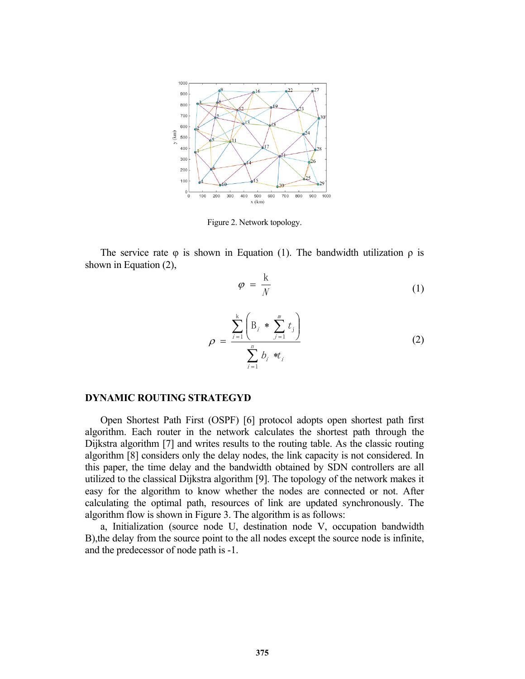

Figure 2. Network topology.

The service rate  $\varphi$  is shown in Equation (1). The bandwidth utilization  $\rho$  is shown in Equation (2),

$$
\varphi = \frac{k}{N} \tag{1}
$$

$$
\rho = \frac{\sum_{i=1}^{k} \left( B_i * \sum_{j=1}^{m} t_j \right)}{\sum_{i=1}^{n} b_i * t_i}
$$
(2)

#### **DYNAMIC ROUTING STRATEGYD**

Open Shortest Path First (OSPF) [6] protocol adopts open shortest path first algorithm. Each router in the network calculates the shortest path through the Dijkstra algorithm [7] and writes results to the routing table. As the classic routing algorithm [8] considers only the delay nodes, the link capacity is not considered. In this paper, the time delay and the bandwidth obtained by SDN controllers are all utilized to the classical Dijkstra algorithm [9]. The topology of the network makes it easy for the algorithm to know whether the nodes are connected or not. After calculating the optimal path, resources of link are updated synchronously. The algorithm flow is shown in Figure 3. The algorithm is as follows:

a, Initialization (source node U, destination node V, occupation bandwidth B),the delay from the source point to the all nodes except the source node is infinite, and the predecessor of node path is -1.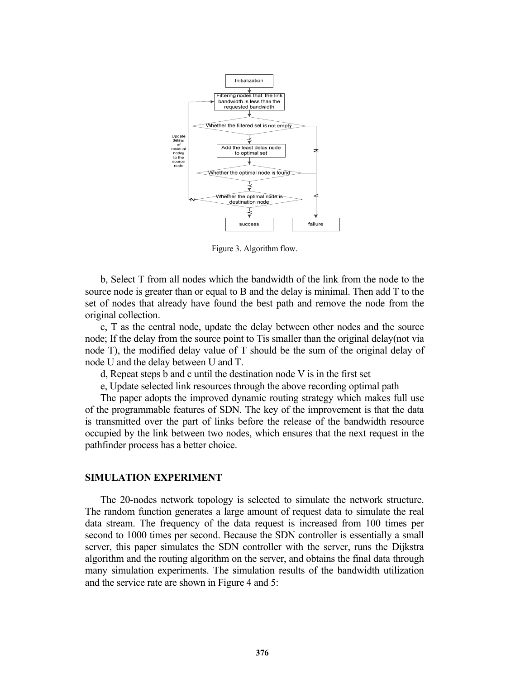

Figure 3. Algorithm flow.

b, Select T from all nodes which the bandwidth of the link from the node to the source node is greater than or equal to B and the delay is minimal. Then add T to the set of nodes that already have found the best path and remove the node from the original collection.

c, T as the central node, update the delay between other nodes and the source node; If the delay from the source point to Tis smaller than the original delay(not via node T), the modified delay value of T should be the sum of the original delay of node U and the delay between U and T.

d, Repeat steps b and c until the destination node V is in the first set

e, Update selected link resources through the above recording optimal path

The paper adopts the improved dynamic routing strategy which makes full use of the programmable features of SDN. The key of the improvement is that the data is transmitted over the part of links before the release of the bandwidth resource occupied by the link between two nodes, which ensures that the next request in the pathfinder process has a better choice.

#### **SIMULATION EXPERIMENT**

The 20-nodes network topology is selected to simulate the network structure. The random function generates a large amount of request data to simulate the real data stream. The frequency of the data request is increased from 100 times per second to 1000 times per second. Because the SDN controller is essentially a small server, this paper simulates the SDN controller with the server, runs the Dijkstra algorithm and the routing algorithm on the server, and obtains the final data through many simulation experiments. The simulation results of the bandwidth utilization and the service rate are shown in Figure 4 and 5: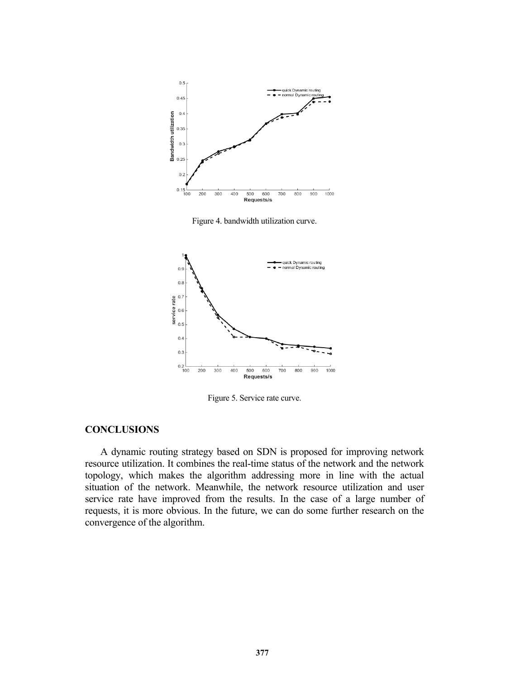

Figure 4. bandwidth utilization curve.



Figure 5. Service rate curve.

## **CONCLUSIONS**

A dynamic routing strategy based on SDN is proposed for improving network resource utilization. It combines the real-time status of the network and the network topology, which makes the algorithm addressing more in line with the actual situation of the network. Meanwhile, the network resource utilization and user service rate have improved from the results. In the case of a large number of requests, it is more obvious. In the future, we can do some further research on the convergence of the algorithm.